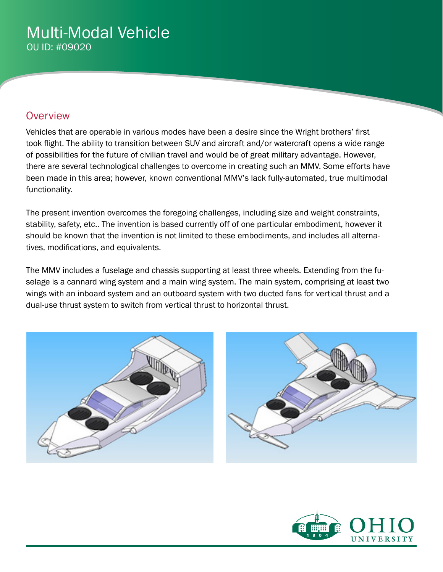# Multi-Modal Vehicle OU ID: #09020

### **Overview**

Vehicles that are operable in various modes have been a desire since the Wright brothers' first took flight. The ability to transition between SUV and aircraft and/or watercraft opens a wide range of possibilities for the future of civilian travel and would be of great military advantage. However, there are several technological challenges to overcome in creating such an MMV. Some efforts have been made in this area; however, known conventional MMV's lack fully-automated, true multimodal functionality.

The present invention overcomes the foregoing challenges, including size and weight constraints, stability, safety, etc.. The invention is based currently off of one particular embodiment, however it should be known that the invention is not limited to these embodiments, and includes all alternatives, modifications, and equivalents.

The MMV includes a fuselage and chassis supporting at least three wheels. Extending from the fuselage is a cannard wing system and a main wing system. The main system, comprising at least two wings with an inboard system and an outboard system with two ducted fans for vertical thrust and a dual-use thrust system to switch from vertical thrust to horizontal thrust.